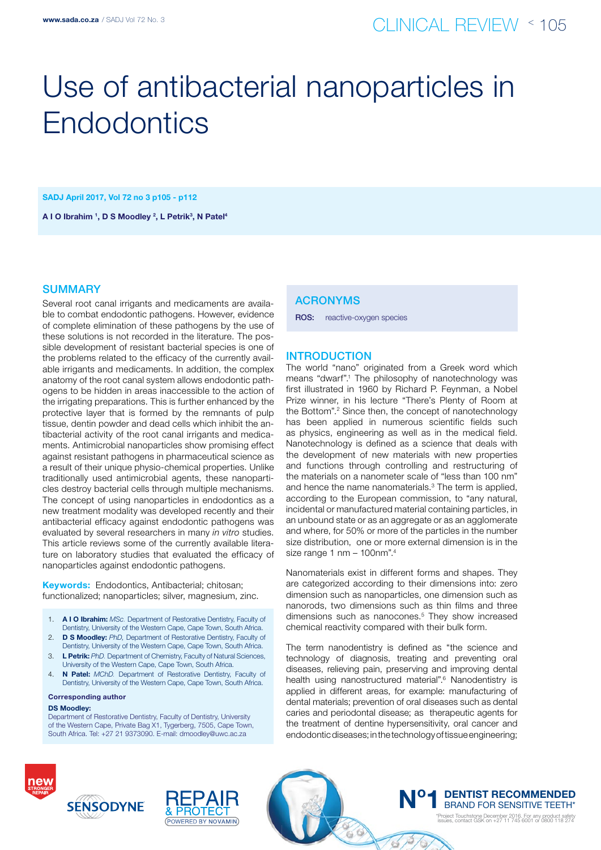# Use of antibacterial nanoparticles in **Endodontics**

SADJ April 2017, Vol 72 no 3 p105 - p112

A I O Ibrahim <sup>1</sup>, D S Moodley <sup>2</sup>, L Petrik<sup>3</sup>, N Patel<sup>4</sup>

# **SUMMARY**

Several root canal irrigants and medicaments are available to combat endodontic pathogens. However, evidence of complete elimination of these pathogens by the use of these solutions is not recorded in the literature. The possible development of resistant bacterial species is one of the problems related to the efficacy of the currently available irrigants and medicaments. In addition, the complex anatomy of the root canal system allows endodontic pathogens to be hidden in areas inaccessible to the action of the irrigating preparations. This is further enhanced by the protective layer that is formed by the remnants of pulp tissue, dentin powder and dead cells which inhibit the antibacterial activity of the root canal irrigants and medicaments. Antimicrobial nanoparticles show promising effect against resistant pathogens in pharmaceutical science as a result of their unique physio-chemical properties. Unlike traditionally used antimicrobial agents, these nanoparticles destroy bacterial cells through multiple mechanisms. The concept of using nanoparticles in endodontics as a new treatment modality was developed recently and their antibacterial efficacy against endodontic pathogens was evaluated by several researchers in many *in vitro* studies. This article reviews some of the currently available literature on laboratory studies that evaluated the efficacy of nanoparticles against endodontic pathogens.

Keywords: Endodontics, Antibacterial; chitosan; functionalized; nanoparticles; silver, magnesium, zinc.

- 1. A I O Ibrahim: *MSc.* Department of Restorative Dentistry, Faculty of Dentistry, University of the Western Cape, Cape Town, South Africa.
- 2. D S Moodley: *PhD,* Department of Restorative Dentistry, Faculty of Dentistry, University of the Western Cape, Cape Town, South Africa.
- 3. L Petrik: *PhD.* Department of Chemistry, Faculty of Natural Sciences, University of the Western Cape, Cape Town, South Africa.
- 4. N Patel: *MChD.* Department of Restorative Dentistry, Faculty of Dentistry, University of the Western Cape, Cape Town, South Africa.

Corresponding author

#### DS Moodley:

Department of Restorative Dentistry, Faculty of Dentistry, University of the Western Cape, Private Bag X1, Tygerberg, 7505, Cape Town, South Africa. Tel: +27 21 9373090. E-mail: dmoodley@uwc.ac.za

# ACRONYMs

ROS: reactive-oxygen species

# **INTRODUCTION**

The world "nano" originated from a Greek word which means "dwarf".1 The philosophy of nanotechnology was first illustrated in 1960 by Richard P. Feynman, a Nobel Prize winner, in his lecture "There's Plenty of Room at the Bottom".<sup>2</sup> Since then, the concept of nanotechnology has been applied in numerous scientific fields such as physics, engineering as well as in the medical field. Nanotechnology is defined as a science that deals with the development of new materials with new properties and functions through controlling and restructuring of the materials on a nanometer scale of "less than 100 nm" and hence the name nanomaterials.3 The term is applied, according to the European commission, to "any natural, incidental or manufactured material containing particles, in an unbound state or as an aggregate or as an agglomerate and where, for 50% or more of the particles in the number size distribution, one or more external dimension is in the size range 1 nm – 100nm".4

Nanomaterials exist in different forms and shapes. They are categorized according to their dimensions into: zero dimension such as nanoparticles, one dimension such as nanorods, two dimensions such as thin films and three dimensions such as nanocones.<sup>5</sup> They show increased chemical reactivity compared with their bulk form.

The term nanodentistry is defined as "the science and technology of diagnosis, treating and preventing oral diseases, relieving pain, preserving and improving dental health using nanostructured material".<sup>6</sup> Nanodentistry is applied in different areas, for example: manufacturing of dental materials; prevention of oral diseases such as dental caries and periodontal disease; as therapeutic agents for the treatment of dentine hypersensitivity, oral cancer and endodontic diseases; in the technology of tissue engineering;

2000





**N° 1 DENTIST RECOMMENDED**<br>BRAND FOR SENSITIVE TEETH\* \*Project Touchstone December 2016. For any product safety issues, contact GSK on +27 11 745 6001 or 0800 118 274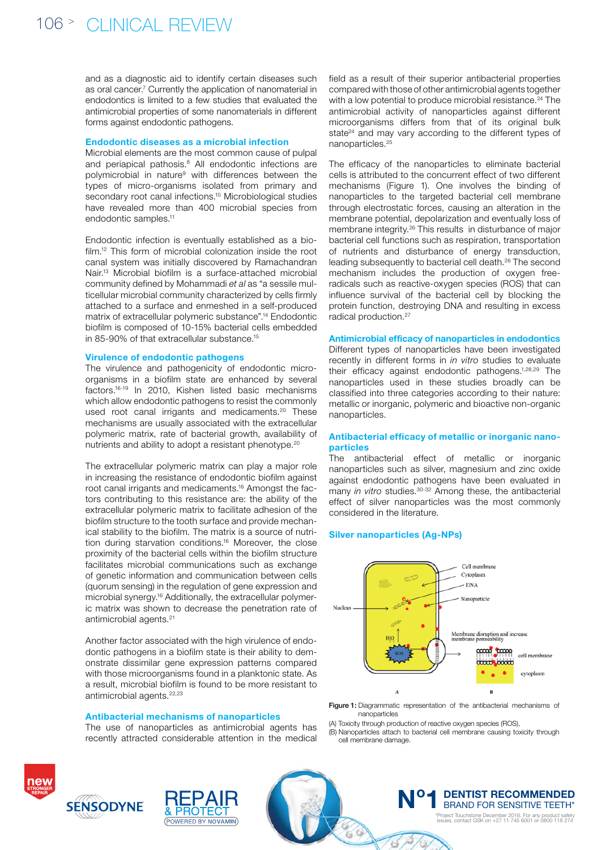and as a diagnostic aid to identify certain diseases such as oral cancer.<sup>7</sup> Currently the application of nanomaterial in endodontics is limited to a few studies that evaluated the antimicrobial properties of some nanomaterials in different forms against endodontic pathogens.

### Endodontic diseases as a microbial infection

Microbial elements are the most common cause of pulpal and periapical pathosis.<sup>8</sup> All endodontic infections are polymicrobial in nature<sup>9</sup> with differences between the types of micro-organisms isolated from primary and secondary root canal infections.<sup>10</sup> Microbiological studies have revealed more than 400 microbial species from endodontic samples.11

Endodontic infection is eventually established as a biofilm.12 This form of microbial colonization inside the root canal system was initially discovered by Ramachandran Nair.13 Microbial biofilm is a surface-attached microbial community defined by Mohammadi *et al* as "a sessile multicellular microbial community characterized by cells firmly attached to a surface and enmeshed in a self-produced matrix of extracellular polymeric substance".14 Endodontic biofilm is composed of 10-15% bacterial cells embedded in 85-90% of that extracellular substance.15

### Virulence of endodontic pathogens

The virulence and pathogenicity of endodontic microorganisms in a biofilm state are enhanced by several factors.16-19 In 2010, Kishen listed basic mechanisms which allow endodontic pathogens to resist the commonly used root canal irrigants and medicaments.<sup>20</sup> These mechanisms are usually associated with the extracellular polymeric matrix, rate of bacterial growth, availability of nutrients and ability to adopt a resistant phenotype.20

The extracellular polymeric matrix can play a major role in increasing the resistance of endodontic biofilm against root canal irrigants and medicaments.16 Amongst the factors contributing to this resistance are: the ability of the extracellular polymeric matrix to facilitate adhesion of the biofilm structure to the tooth surface and provide mechanical stability to the biofilm. The matrix is a source of nutrition during starvation conditions.16 Moreover, the close proximity of the bacterial cells within the biofilm structure facilitates microbial communications such as exchange of genetic information and communication between cells (quorum sensing) in the regulation of gene expression and microbial synergy.16 Additionally, the extracellular polymeric matrix was shown to decrease the penetration rate of antimicrobial agents.21

Another factor associated with the high virulence of endodontic pathogens in a biofilm state is their ability to demonstrate dissimilar gene expression patterns compared with those microorganisms found in a planktonic state. As a result, microbial biofilm is found to be more resistant to antimicrobial agents.<sup>22,23</sup>

#### Antibacterial mechanisms of nanoparticles

The use of nanoparticles as antimicrobial agents has recently attracted considerable attention in the medical

field as a result of their superior antibacterial properties compared with those of other antimicrobial agents together with a low potential to produce microbial resistance.<sup>24</sup> The antimicrobial activity of nanoparticles against different microorganisms differs from that of its original bulk state<sup>24</sup> and may vary according to the different types of nanoparticles.<sup>25</sup>

The efficacy of the nanoparticles to eliminate bacterial cells is attributed to the concurrent effect of two different mechanisms (Figure 1). One involves the binding of nanoparticles to the targeted bacterial cell membrane through electrostatic forces, causing an alteration in the membrane potential, depolarization and eventually loss of membrane integrity.26 This results in disturbance of major bacterial cell functions such as respiration, transportation of nutrients and disturbance of energy transduction, leading subsequently to bacterial cell death.26 The second mechanism includes the production of oxygen freeradicals such as reactive-oxygen species (ROS) that can influence survival of the bacterial cell by blocking the protein function, destroying DNA and resulting in excess radical production.27

### Antimicrobial efficacy of nanoparticles in endodontics

Different types of nanoparticles have been investigated recently in different forms in *in vitro* studies to evaluate their efficacy against endodontic pathogens.1,28,29 The nanoparticles used in these studies broadly can be classified into three categories according to their nature: metallic or inorganic, polymeric and bioactive non-organic nanoparticles.

# Antibacterial efficacy of metallic or inorganic nanoparticles

The antibacterial effect of metallic or inorganic nanoparticles such as silver, magnesium and zinc oxide against endodontic pathogens have been evaluated in many *in vitro* studies.<sup>30-32</sup> Among these, the antibacterial effect of silver nanoparticles was the most commonly considered in the literature.

## Silver nanoparticles (Ag-NPs)



Figure 1: Diagrammatic representation of the antibacterial mechanisms of nanoparticles

(A) Toxicity through production of reactive oxygen species (ROS),

 $\boldsymbol{\mathcal{Z}}$  $\lambda$  $\overline{\mathbb{Q}}$ 

(B) Nanoparticles attach to bacterial cell membrane causing toxicity through cell membrane damage.





**N° 1 DENTIST RECOMMENDED**<br>BRAND FOR SENSITIVE TEETH\* \*Project Touchstone December 2016. For any product safety issues, contact GSK on +27 11 745 6001 or 0800 118 274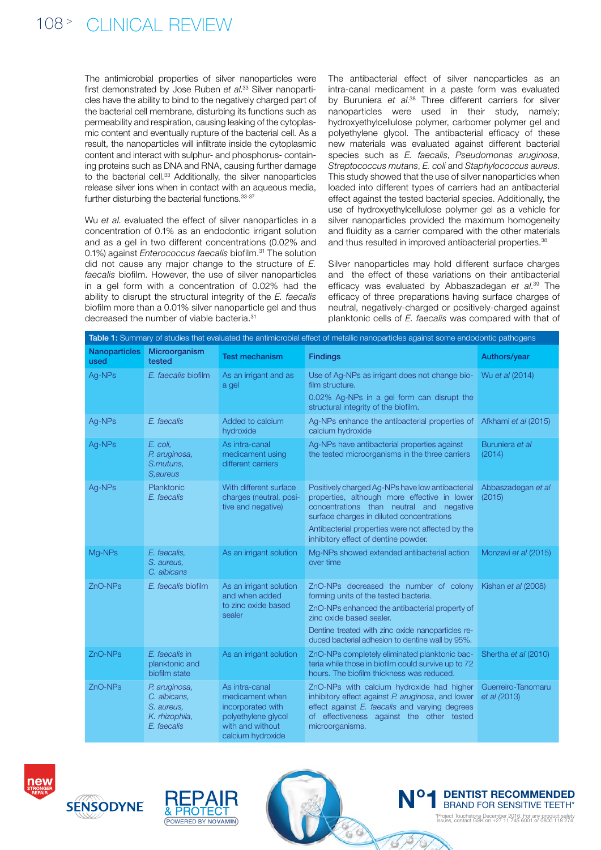The antimicrobial properties of silver nanoparticles were first demonstrated by Jose Ruben *et al*. 33 Silver nanoparticles have the ability to bind to the negatively charged part of the bacterial cell membrane, disturbing its functions such as permeability and respiration, causing leaking of the cytoplasmic content and eventually rupture of the bacterial cell. As a result, the nanoparticles will infiltrate inside the cytoplasmic content and interact with sulphur- and phosphorus- containing proteins such as DNA and RNA, causing further damage to the bacterial cell.<sup>33</sup> Additionally, the silver nanoparticles release silver ions when in contact with an aqueous media, further disturbing the bacterial functions. 33-37

Wu *et al*. evaluated the effect of silver nanoparticles in a concentration of 0.1% as an endodontic irrigant solution and as a gel in two different concentrations (0.02% and 0.1%) against *Enterococcus faecalis* biofilm.31 The solution did not cause any major change to the structure of *E. faecalis* biofilm. However, the use of silver nanoparticles in a gel form with a concentration of 0.02% had the ability to disrupt the structural integrity of the *E. faecalis* biofilm more than a 0.01% silver nanoparticle gel and thus decreased the number of viable bacteria.<sup>31</sup>

The antibacterial effect of silver nanoparticles as an intra-canal medicament in a paste form was evaluated by Buruniera *et al*. 38 Three different carriers for silver nanoparticles were used in their study, namely; hydroxyethylcellulose polymer, carbomer polymer gel and polyethylene glycol. The antibacterial efficacy of these new materials was evaluated against different bacterial species such as *E. faecalis*, *Pseudomonas aruginosa*, *Streptococcus mutans*, *E. coli* and *Staphylococcus aureus*. This study showed that the use of silver nanoparticles when loaded into different types of carriers had an antibacterial effect against the tested bacterial species. Additionally, the use of hydroxyethylcellulose polymer gel as a vehicle for silver nanoparticles provided the maximum homogeneity and fluidity as a carrier compared with the other materials and thus resulted in improved antibacterial properties.<sup>38</sup>

Silver nanoparticles may hold different surface charges and the effect of these variations on their antibacterial efficacy was evaluated by Abbaszadegan *et al*. 39 The efficacy of three preparations having surface charges of neutral, negatively-charged or positively-charged against planktonic cells of *E. faecalis* was compared with that of

| Table 1: Summary of studies that evaluated the antimicrobial effect of metallic nanoparticles against some endodontic pathogens |                                                                              |                                                                                                                        |                                                                                                                                                                                                                                                                                            |                                    |  |
|---------------------------------------------------------------------------------------------------------------------------------|------------------------------------------------------------------------------|------------------------------------------------------------------------------------------------------------------------|--------------------------------------------------------------------------------------------------------------------------------------------------------------------------------------------------------------------------------------------------------------------------------------------|------------------------------------|--|
| <b>Nanoparticles</b><br>used                                                                                                    | Microorganism<br>tested                                                      | <b>Test mechanism</b>                                                                                                  | <b>Findings</b>                                                                                                                                                                                                                                                                            | Authors/year                       |  |
| Ag-NPs                                                                                                                          | E. faecalis biofilm                                                          | As an irrigant and as<br>a gel                                                                                         | Use of Ag-NPs as irrigant does not change bio- Wu et al (2014)<br>film structure.<br>0.02% Ag-NPs in a gel form can disrupt the<br>structural integrity of the biofilm.                                                                                                                    |                                    |  |
| Ag-NPs                                                                                                                          | E. faecalis                                                                  | Added to calcium<br>hydroxide                                                                                          | Ag-NPs enhance the antibacterial properties of Afkhami et al (2015)<br>calcium hydroxide                                                                                                                                                                                                   |                                    |  |
| Ag-NPs                                                                                                                          | E. coli,<br>P. aruginosa,<br>S.mutuns,<br>S, aureus                          | As intra-canal<br>medicament using<br>different carriers                                                               | Ag-NPs have antibacterial properties against<br>the tested microorganisms in the three carriers                                                                                                                                                                                            | Buruniera et al<br>(2014)          |  |
| Ag-NPs                                                                                                                          | Planktonic<br>E. faecalis                                                    | With different surface<br>charges (neutral, posi-<br>tive and negative)                                                | Positively charged Ag-NPs have low antibacterial<br>properties, although more effective in lower<br>concentrations than neutral and negative<br>surface charges in diluted concentrations<br>Antibacterial properties were not affected by the<br>inhibitory effect of dentine powder.     | Abbaszadegan et al<br>(2015)       |  |
| Mg-NPs                                                                                                                          | E. faecalis,<br>S. aureus.<br>C. albicans                                    | As an irrigant solution                                                                                                | Mg-NPs showed extended antibacterial action<br>over time                                                                                                                                                                                                                                   | Monzavi et al (2015)               |  |
| ZnO-NPs                                                                                                                         | E. faecalis biofilm                                                          | As an irrigant solution<br>and when added<br>to zinc oxide based<br>sealer                                             | ZnO-NPs decreased the number of colony Kishan et al (2008)<br>forming units of the tested bacteria.<br>ZnO-NPs enhanced the antibacterial property of<br>zinc oxide based sealer.<br>Dentine treated with zinc oxide nanoparticles re-<br>duced bacterial adhesion to dentine wall by 95%. |                                    |  |
| ZnO-NPs                                                                                                                         | E. faecalis in<br>planktonic and<br>biofilm state                            | As an irrigant solution                                                                                                | ZnO-NPs completely eliminated planktonic bac-<br>teria while those in biofilm could survive up to 72<br>hours. The biofilm thickness was reduced.                                                                                                                                          | Shertha et al (2010)               |  |
| ZnO-NPs                                                                                                                         | P. aruginosa,<br>C. albicans,<br>S. aureus.<br>K. rhizophila,<br>E. faecalis | As intra-canal<br>medicament when<br>incorporated with<br>polyethylene glycol<br>with and without<br>calcium hydroxide | ZnO-NPs with calcium hydroxide had higher<br>inhibitory effect against P. aruginosa, and lower<br>effect against E. faecalis and varying degrees<br>of effectiveness against the other tested<br>microorganisms.                                                                           | Guerreiro-Tanomaru<br>et al (2013) |  |





**N° 1 DENTIST RECOMMENDED**<br>BRAND FOR SENSITIVE TEETH\* \*Project Touchstone December 2016. For any product safety issues, contact GSK on +27 11 745 6001 or 0800 118 274

 $\mathbb{Z}^3$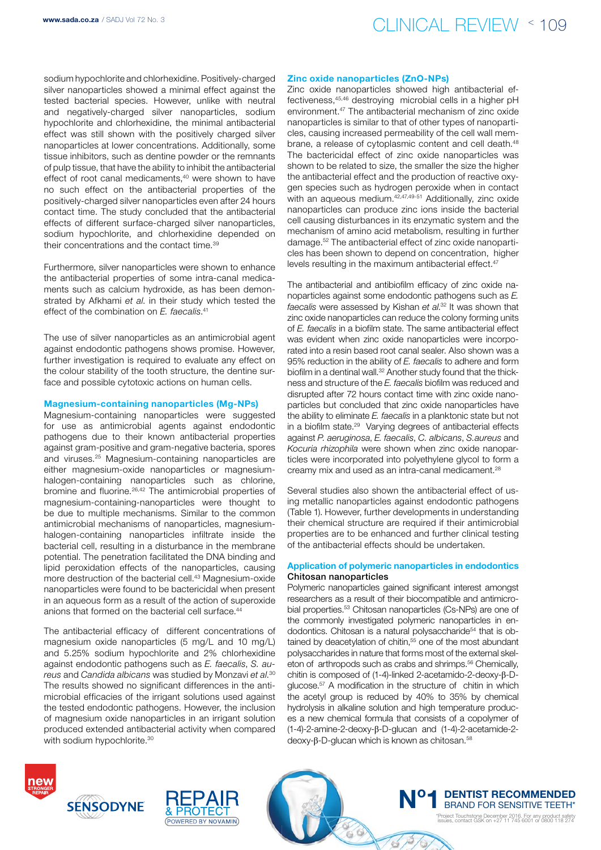

sodium hypochlorite and chlorhexidine. Positively-charged silver nanoparticles showed a minimal effect against the tested bacterial species. However, unlike with neutral and negatively-charged silver nanoparticles, sodium hypochlorite and chlorhexidine, the minimal antibacterial effect was still shown with the positively charged silver nanoparticles at lower concentrations. Additionally, some tissue inhibitors, such as dentine powder or the remnants of pulp tissue, that have the ability to inhibit the antibacterial effect of root canal medicaments,<sup>40</sup> were shown to have no such effect on the antibacterial properties of the positively-charged silver nanoparticles even after 24 hours contact time. The study concluded that the antibacterial effects of different surface-charged silver nanoparticles, sodium hypochlorite, and chlorhexidine depended on their concentrations and the contact time.39

Furthermore, silver nanoparticles were shown to enhance the antibacterial properties of some intra-canal medicaments such as calcium hydroxide, as has been demonstrated by Afkhami *et al*. in their study which tested the effect of the combination on *E. faecalis*. 41

The use of silver nanoparticles as an antimicrobial agent against endodontic pathogens shows promise. However, further investigation is required to evaluate any effect on the colour stability of the tooth structure, the dentine surface and possible cytotoxic actions on human cells.

#### Magnesium-containing nanoparticles (Mg-NPs)

Magnesium-containing nanoparticles were suggested for use as antimicrobial agents against endodontic pathogens due to their known antibacterial properties against gram-positive and gram-negative bacteria, spores and viruses.25 Magnesium-containing nanoparticles are either magnesium-oxide nanoparticles or magnesiumhalogen-containing nanoparticles such as chlorine, bromine and fluorine.26,42 The antimicrobial properties of magnesium-containing-nanoparticles were thought to be due to multiple mechanisms. Similar to the common antimicrobial mechanisms of nanoparticles, magnesiumhalogen-containing nanoparticles infiltrate inside the bacterial cell, resulting in a disturbance in the membrane potential. The penetration facilitated the DNA binding and lipid peroxidation effects of the nanoparticles, causing more destruction of the bacterial cell.43 Magnesium-oxide nanoparticles were found to be bactericidal when present in an aqueous form as a result of the action of superoxide anions that formed on the bacterial cell surface.<sup>44</sup>

The antibacterial efficacy of different concentrations of magnesium oxide nanoparticles (5 mg/L and 10 mg/L) and 5.25% sodium hypochlorite and 2% chlorhexidine against endodontic pathogens such as *E. faecalis*, *S. aureus* and *Candida albicans* was studied by Monzavi *et al*. 30 The results showed no significant differences in the antimicrobial efficacies of the irrigant solutions used against the tested endodontic pathogens. However, the inclusion of magnesium oxide nanoparticles in an irrigant solution produced extended antibacterial activity when compared with sodium hypochlorite.<sup>30</sup>

#### Zinc oxide nanoparticles (ZnO-NPs)

Zinc oxide nanoparticles showed high antibacterial effectiveness,45,46 destroying microbial cells in a higher pH environment.47 The antibacterial mechanism of zinc oxide nanoparticles is similar to that of other types of nanoparticles, causing increased permeability of the cell wall membrane, a release of cytoplasmic content and cell death.<sup>48</sup> The bactericidal effect of zinc oxide nanoparticles was shown to be related to size, the smaller the size the higher the antibacterial effect and the production of reactive oxygen species such as hydrogen peroxide when in contact with an aqueous medium.<sup>42,47,49-51</sup> Additionally, zinc oxide nanoparticles can produce zinc ions inside the bacterial cell causing disturbances in its enzymatic system and the mechanism of amino acid metabolism, resulting in further damage.52 The antibacterial effect of zinc oxide nanoparticles has been shown to depend on concentration, higher levels resulting in the maximum antibacterial effect.<sup>47</sup>

The antibacterial and antibiofilm efficacy of zinc oxide nanoparticles against some endodontic pathogens such as *E. faecalis* were assessed by Kishan *et al*. 32 It was shown that zinc oxide nanoparticles can reduce the colony forming units of *E. faecalis* in a biofilm state. The same antibacterial effect was evident when zinc oxide nanoparticles were incorporated into a resin based root canal sealer. Also shown was a 95% reduction in the ability of *E. faecalis* to adhere and form biofilm in a dentinal wall.32 Another study found that the thickness and structure of the *E. faecalis* biofilm was reduced and disrupted after 72 hours contact time with zinc oxide nanoparticles but concluded that zinc oxide nanoparticles have the ability to eliminate *E. faecalis* in a planktonic state but not in a biofilm state.29 Varying degrees of antibacterial effects against *P. aeruginosa*, *E. faecalis*, *C. albicans*, *S.aureus* and *Kocuria rhizophila* were shown when zinc oxide nanoparticles were incorporated into polyethylene glycol to form a creamy mix and used as an intra-canal medicament.<sup>28</sup>

Several studies also shown the antibacterial effect of using metallic nanoparticles against endodontic pathogens (Table 1). However, further developments in understanding their chemical structure are required if their antimicrobial properties are to be enhanced and further clinical testing of the antibacterial effects should be undertaken.

#### Application of polymeric nanoparticles in endodontics Chitosan nanoparticles

Polymeric nanoparticles gained significant interest amongst researchers as a result of their biocompatible and antimicrobial properties.<sup>53</sup> Chitosan nanoparticles (Cs-NPs) are one of the commonly investigated polymeric nanoparticles in endodontics. Chitosan is a natural polysaccharide<sup>54</sup> that is obtained by deacetylation of chitin,<sup>55</sup> one of the most abundant polysaccharides in nature that forms most of the external skeleton of arthropods such as crabs and shrimps.<sup>56</sup> Chemically, chitin is composed of (1-4)-linked 2-acetamido-2-deoxy-β-Dglucose.57 A modification in the structure of chitin in which the acetyl group is reduced by 40% to 35% by chemical hydrolysis in alkaline solution and high temperature produces a new chemical formula that consists of a copolymer of (1-4)-2-amine-2-deoxy-β-D-glucan and (1-4)-2-acetamide-2 deoxy-β-D-glucan which is known as chitosan.<sup>58</sup>

 $\sqrt{3}$ 





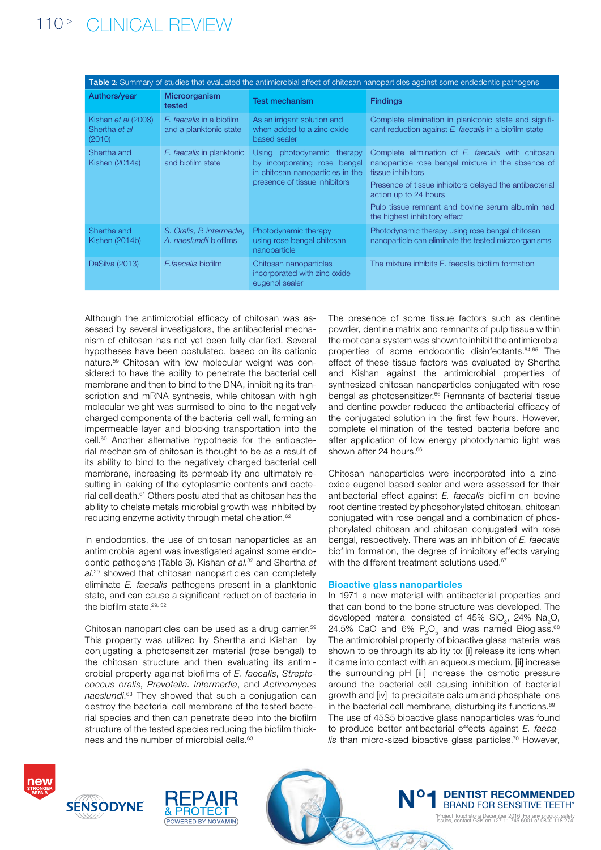# 110 <sup>&</sup>gt; clinical review

| Table 2: Summary of studies that evaluated the antimicrobial effect of chitosan nanoparticles against some endodontic pathogens |                                                     |                                                                                                                                 |                                                                                                                                                                                                                                                                                                       |  |  |
|---------------------------------------------------------------------------------------------------------------------------------|-----------------------------------------------------|---------------------------------------------------------------------------------------------------------------------------------|-------------------------------------------------------------------------------------------------------------------------------------------------------------------------------------------------------------------------------------------------------------------------------------------------------|--|--|
| Authors/year                                                                                                                    | Microorganism<br>tested                             | <b>Test mechanism</b>                                                                                                           | <b>Findings</b>                                                                                                                                                                                                                                                                                       |  |  |
| Kishan et al (2008)<br>Shertha et al<br>(2010)                                                                                  | E. faecalis in a biofilm<br>and a planktonic state  | As an irrigant solution and<br>when added to a zinc oxide<br>based sealer                                                       | Complete elimination in planktonic state and signifi-<br>cant reduction against E. faecalis in a biofilm state                                                                                                                                                                                        |  |  |
| Shertha and<br>Kishen (2014a)                                                                                                   | E. faecalis in planktonic<br>and biofilm state      | Using photodynamic therapy<br>by incorporating rose bengal<br>in chitosan nanoparticles in the<br>presence of tissue inhibitors | Complete elimination of E. faecalis with chitosan<br>nanoparticle rose bengal mixture in the absence of<br>tissue inhibitors<br>Presence of tissue inhibitors delayed the antibacterial<br>action up to 24 hours<br>Pulp tissue remnant and bovine serum albumin had<br>the highest inhibitory effect |  |  |
| Shertha and<br>Kishen (2014b)                                                                                                   | S. Oralis, P. intermedia,<br>A. naeslundii biofilms | Photodynamic therapy<br>using rose bengal chitosan<br>nanoparticle                                                              | Photodynamic therapy using rose bengal chitosan<br>nanoparticle can eliminate the tested microorganisms                                                                                                                                                                                               |  |  |
| DaSilva (2013)                                                                                                                  | E.faecalis biofilm                                  | Chitosan nanoparticles<br>incorporated with zinc oxide<br>eugenol sealer                                                        | The mixture inhibits E, faecalis biofilm formation                                                                                                                                                                                                                                                    |  |  |

Although the antimicrobial efficacy of chitosan was assessed by several investigators, the antibacterial mechanism of chitosan has not yet been fully clarified. Several hypotheses have been postulated, based on its cationic nature.59 Chitosan with low molecular weight was considered to have the ability to penetrate the bacterial cell membrane and then to bind to the DNA, inhibiting its transcription and mRNA synthesis, while chitosan with high molecular weight was surmised to bind to the negatively charged components of the bacterial cell wall, forming an impermeable layer and blocking transportation into the cell.60 Another alternative hypothesis for the antibacterial mechanism of chitosan is thought to be as a result of its ability to bind to the negatively charged bacterial cell membrane, increasing its permeability and ultimately resulting in leaking of the cytoplasmic contents and bacterial cell death.61 Others postulated that as chitosan has the ability to chelate metals microbial growth was inhibited by reducing enzyme activity through metal chelation.<sup>62</sup>

In endodontics, the use of chitosan nanoparticles as an antimicrobial agent was investigated against some endodontic pathogens (Table 3). Kishan *et al*. 32 and Shertha *et al*. 29 showed that chitosan nanoparticles can completely eliminate *E. faecalis* pathogens present in a planktonic state, and can cause a significant reduction of bacteria in the biofilm state.<sup>29, 32</sup>

Chitosan nanoparticles can be used as a drug carrier.<sup>59</sup> This property was utilized by Shertha and Kishan by conjugating a photosensitizer material (rose bengal) to the chitosan structure and then evaluating its antimicrobial property against biofilms of *E. faecalis*, *Streptococcus oralis*, *Prevotella. intermedia*, and *Actinomyces naeslundi*. 63 They showed that such a conjugation can destroy the bacterial cell membrane of the tested bacterial species and then can penetrate deep into the biofilm structure of the tested species reducing the biofilm thickness and the number of microbial cells.<sup>63</sup>

The presence of some tissue factors such as dentine powder, dentine matrix and remnants of pulp tissue within the root canal system was shown to inhibit the antimicrobial properties of some endodontic disinfectants.64,65 The effect of these tissue factors was evaluated by Shertha and Kishan against the antimicrobial properties of synthesized chitosan nanoparticles conjugated with rose bengal as photosensitizer.<sup>66</sup> Remnants of bacterial tissue and dentine powder reduced the antibacterial efficacy of the conjugated solution in the first few hours. However, complete elimination of the tested bacteria before and after application of low energy photodynamic light was shown after 24 hours.<sup>66</sup>

Chitosan nanoparticles were incorporated into a zincoxide eugenol based sealer and were assessed for their antibacterial effect against *E. faecalis* biofilm on bovine root dentine treated by phosphorylated chitosan, chitosan conjugated with rose bengal and a combination of phosphorylated chitosan and chitosan conjugated with rose bengal, respectively. There was an inhibition of *E. faecalis* biofilm formation, the degree of inhibitory effects varying with the different treatment solutions used.<sup>67</sup>

# Bioactive glass nanoparticles

 $\mathbb Z$ 

In 1971 a new material with antibacterial properties and that can bond to the bone structure was developed. The developed material consisted of 45%  $SiO_2$ , 24%  $Na_2O$ , 24.5% CaO and 6%  $P_2O_5$  and was named Bioglass.<sup>68</sup> The antimicrobial property of bioactive glass material was shown to be through its ability to: [i] release its ions when it came into contact with an aqueous medium, [ii] increase the surrounding pH [iii] increase the osmotic pressure around the bacterial cell causing inhibition of bacterial growth and [iv] to precipitate calcium and phosphate ions in the bacterial cell membrane, disturbing its functions.<sup>69</sup> The use of 45S5 bioactive glass nanoparticles was found to produce better antibacterial effects against *E. faecalis* than micro-sized bioactive glass particles.<sup>70</sup> However,





**N° 1 DENTIST RECOMMENDED**<br>BRAND FOR SENSITIVE TEETH\* \*Project Touchstone December 2016. For any product safety issues, contact GSK on +27 11 745 6001 or 0800 118 274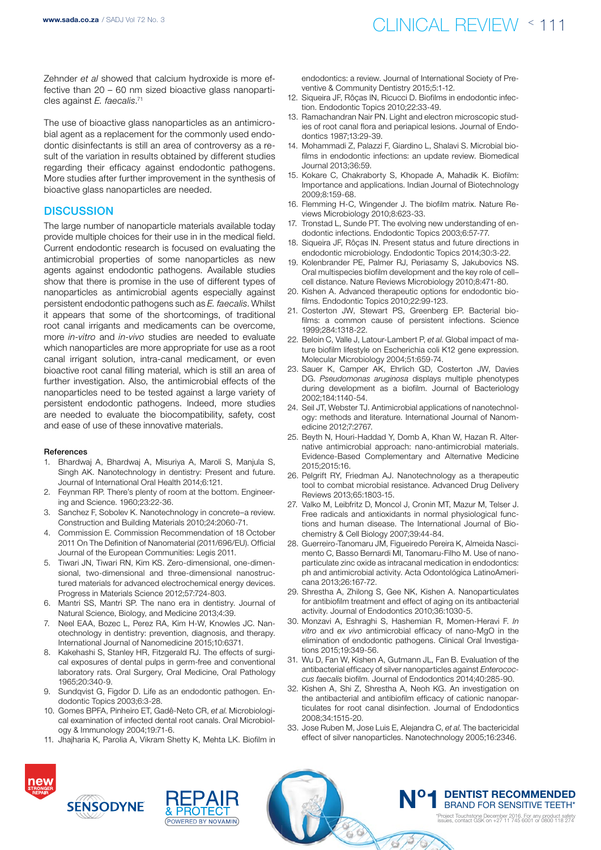Zehnder *et al* showed that calcium hydroxide is more effective than 20 – 60 nm sized bioactive glass nanoparticles against *E. faecalis*. 71

The use of bioactive glass nanoparticles as an antimicrobial agent as a replacement for the commonly used endodontic disinfectants is still an area of controversy as a result of the variation in results obtained by different studies regarding their efficacy against endodontic pathogens. More studies after further improvement in the synthesis of bioactive glass nanoparticles are needed.

# **DISCUSSION**

The large number of nanoparticle materials available today provide multiple choices for their use in in the medical field. Current endodontic research is focused on evaluating the antimicrobial properties of some nanoparticles as new agents against endodontic pathogens. Available studies show that there is promise in the use of different types of nanoparticles as antimicrobial agents especially against persistent endodontic pathogens such as *E. faecalis*. Whilst it appears that some of the shortcomings, of traditional root canal irrigants and medicaments can be overcome, more *in-vitro* and *in-vivo* studies are needed to evaluate which nanoparticles are more appropriate for use as a root canal irrigant solution, intra-canal medicament, or even bioactive root canal filling material, which is still an area of further investigation. Also, the antimicrobial effects of the nanoparticles need to be tested against a large variety of persistent endodontic pathogens. Indeed, more studies are needed to evaluate the biocompatibility, safety, cost and ease of use of these innovative materials.

#### References

- 1. Bhardwaj A, Bhardwaj A, Misuriya A, Maroli S, Manjula S, Singh AK. Nanotechnology in dentistry: Present and future. Journal of International Oral Health 2014;6:121.
- 2. Feynman RP. There's plenty of room at the bottom. Engineering and Science. 1960;23:22-36.
- 3. Sanchez F, Sobolev K. Nanotechnology in concrete–a review. Construction and Building Materials 2010;24:2060-71.
- 4. Commission E. Commission Recommendation of 18 October 2011 On The Definition of Nanomaterial (2011/696/EU). Official Journal of the European Communities: Legis 2011.
- 5. Tiwari JN, Tiwari RN, Kim KS. Zero-dimensional, one-dimensional, two-dimensional and three-dimensional nanostructured materials for advanced electrochemical energy devices. Progress in Materials Science 2012;57:724-803.
- 6. Mantri SS, Mantri SP. The nano era in dentistry. Journal of Natural Science, Biology, and Medicine 2013;4:39.
- 7. Neel EAA, Bozec L, Perez RA, Kim H-W, Knowles JC. Nanotechnology in dentistry: prevention, diagnosis, and therapy. International Journal of Nanomedicine 2015;10:6371.
- 8. Kakehashi S, Stanley HR, Fitzgerald RJ. The effects of surgical exposures of dental pulps in germ-free and conventional laboratory rats. Oral Surgery, Oral Medicine, Oral Pathology 1965;20:340-9.
- Sundqvist G. Figdor D. Life as an endodontic pathogen. Endodontic Topics 2003;6:3-28.
- 10. Gomes BPFA, Pinheiro ET, Gadê-Neto CR, *et al*. Microbiological examination of infected dental root canals. Oral Microbiology & Immunology 2004;19:71-6.
- 11. Jhajharia K, Parolia A, Vikram Shetty K, Mehta LK. Biofilm in

endodontics: a review. Journal of International Society of Preventive & Community Dentistry 2015;5:1-12.

- 12. Siqueira JF, Rôças IN, Ricucci D. Biofilms in endodontic infection. Endodontic Topics 2010;22:33-49.
- 13. Ramachandran Nair PN. Light and electron microscopic studies of root canal flora and periapical lesions. Journal of Endodontics 1987;13:29-39.
- 14. Mohammadi Z, Palazzi F, Giardino L, Shalavi S. Microbial biofilms in endodontic infections: an update review. Biomedical Journal 2013;36:59.
- 15. Kokare C, Chakraborty S, Khopade A, Mahadik K. Biofilm: Importance and applications. Indian Journal of Biotechnology 2009;8:159-68.
- 16. Flemming H-C, Wingender J. The biofilm matrix. Nature Reviews Microbiology 2010;8:623-33.
- 17. Tronstad L, Sunde PT. The evolving new understanding of endodontic infections. Endodontic Topics 2003;6:57-77.
- 18. Siqueira JF, Rôças IN. Present status and future directions in endodontic microbiology. Endodontic Topics 2014;30:3-22.
- 19. Kolenbrander PE, Palmer RJ, Periasamy S, Jakubovics NS. Oral multispecies biofilm development and the key role of cell– cell distance. Nature Reviews Microbiology 2010;8:471-80.
- 20. Kishen A. Advanced therapeutic options for endodontic biofilms. Endodontic Topics 2010;22:99-123.
- 21. Costerton JW, Stewart PS, Greenberg EP. Bacterial biofilms: a common cause of persistent infections. Science 1999;284:1318-22.
- 22. Beloin C, Valle J, Latour-Lambert P, *et al*. Global impact of mature biofilm lifestyle on Escherichia coli K12 gene expression. Molecular Microbiology 2004;51:659-74.
- 23. Sauer K, Camper AK, Ehrlich GD, Costerton JW, Davies DG. *Pseudomonas aruginosa* displays multiple phenotypes during development as a biofilm. Journal of Bacteriology 2002;184:1140-54.
- 24. Seil JT, Webster TJ. Antimicrobial applications of nanotechnology: methods and literature. International Journal of Nanomedicine 2012;7:2767.
- 25. Beyth N, Houri-Haddad Y, Domb A, Khan W, Hazan R. Alternative antimicrobial approach: nano-antimicrobial materials. Evidence-Based Complementary and Alternative Medicine 2015;2015:16.
- 26. Pelgrift RY, Friedman AJ. Nanotechnology as a therapeutic tool to combat microbial resistance. Advanced Drug Delivery Reviews 2013;65:1803-15.
- 27. Valko M, Leibfritz D, Moncol J, Cronin MT, Mazur M, Telser J. Free radicals and antioxidants in normal physiological functions and human disease. The International Journal of Biochemistry & Cell Biology 2007;39:44-84.
- 28. Guerreiro-Tanomaru JM, Figueiredo Pereira K, Almeida Nascimento C, Basso Bernardi MI, Tanomaru-Filho M. Use of nanoparticulate zinc oxide as intracanal medication in endodontics: ph and antimicrobial activity. Acta Odontológica LatinoAmericana 2013;26:167-72.
- 29. Shrestha A, Zhilong S, Gee NK, Kishen A. Nanoparticulates for antibiofilm treatment and effect of aging on its antibacterial activity. Journal of Endodontics 2010;36:1030-5.
- 30. Monzavi A, Eshraghi S, Hashemian R, Momen-Heravi F. *In vitro* and *ex vivo* antimicrobial efficacy of nano-MgO in the elimination of endodontic pathogens. Clinical Oral Investigations 2015;19:349-56.
- 31. Wu D, Fan W, Kishen A, Gutmann JL, Fan B. Evaluation of the antibacterial efficacy of silver nanoparticles against *Enterococcus faecalis* biofilm. Journal of Endodontics 2014;40:285-90.
- 32. Kishen A, Shi Z, Shrestha A, Neoh KG. An investigation on the antibacterial and antibiofilm efficacy of cationic nanoparticulates for root canal disinfection. Journal of Endodontics 2008;34:1515-20.
- 33. Jose Ruben M, Jose Luis E, Alejandra C, *et al*. The bactericidal effect of silver nanoparticles. Nanotechnology 2005;16:2346.

**N°** 

326

**BO** 

**1 DENTIST RECOMMENDED**<br>BRAND FOR SENSITIVE TEETH\* \*Project Touchstone December 2016. For any product safety issues, contact GSK on +27 11 745 6001 or 0800 118 274